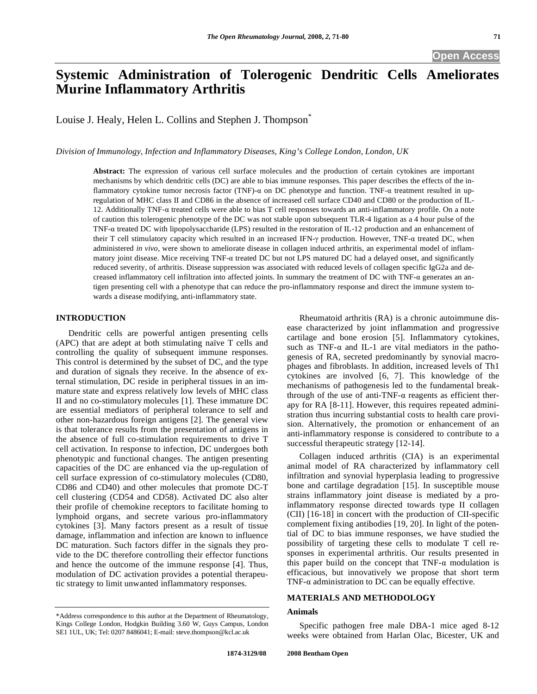# **Systemic Administration of Tolerogenic Dendritic Cells Ameliorates Murine Inflammatory Arthritis**

Louise J. Healy, Helen L. Collins and Stephen J. Thompson<sup>®</sup>

*Division of Immunology, Infection and Inflammatory Diseases, King's College London, London, UK* 

**Abstract:** The expression of various cell surface molecules and the production of certain cytokines are important mechanisms by which dendritic cells (DC) are able to bias immune responses. This paper describes the effects of the inflammatory cytokine tumor necrosis factor (TNF)- $\alpha$  on DC phenotype and function. TNF- $\alpha$  treatment resulted in upregulation of MHC class II and CD86 in the absence of increased cell surface CD40 and CD80 or the production of IL-12. Additionally  $TNF-\alpha$  treated cells were able to bias T cell responses towards an anti-inflammatory profile. On a note of caution this tolerogenic phenotype of the DC was not stable upon subsequent TLR-4 ligation as a 4 hour pulse of the TNF- $\alpha$  treated DC with lipopolysaccharide (LPS) resulted in the restoration of IL-12 production and an enhancement of their T cell stimulatory capacity which resulted in an increased IFN- $\gamma$  production. However, TNF- $\alpha$  treated DC, when administered *in vivo,* were shown to ameliorate disease in collagen induced arthritis, an experimental model of inflammatory joint disease. Mice receiving TNF- $\alpha$  treated DC but not LPS matured DC had a delayed onset, and significantly reduced severity, of arthritis. Disease suppression was associated with reduced levels of collagen specific IgG2a and decreased inflammatory cell infiltration into affected joints. In summary the treatment of DC with TNF- $\alpha$  generates an antigen presenting cell with a phenotype that can reduce the pro-inflammatory response and direct the immune system towards a disease modifying, anti-inflammatory state.

# **INTRODUCTION**

 Dendritic cells are powerful antigen presenting cells (APC) that are adept at both stimulating naïve T cells and controlling the quality of subsequent immune responses. This control is determined by the subset of DC, and the type and duration of signals they receive. In the absence of external stimulation, DC reside in peripheral tissues in an immature state and express relatively low levels of MHC class II and no co-stimulatory molecules [1]. These immature DC are essential mediators of peripheral tolerance to self and other non-hazardous foreign antigens [2]. The general view is that tolerance results from the presentation of antigens in the absence of full co-stimulation requirements to drive T cell activation. In response to infection, DC undergoes both phenotypic and functional changes. The antigen presenting capacities of the DC are enhanced via the up-regulation of cell surface expression of co-stimulatory molecules (CD80, CD86 and CD40) and other molecules that promote DC-T cell clustering (CD54 and CD58). Activated DC also alter their profile of chemokine receptors to facilitate homing to lymphoid organs, and secrete various pro-inflammatory cytokines [3]. Many factors present as a result of tissue damage, inflammation and infection are known to influence DC maturation. Such factors differ in the signals they provide to the DC therefore controlling their effector functions and hence the outcome of the immune response [4]. Thus, modulation of DC activation provides a potential therapeutic strategy to limit unwanted inflammatory responses.

 Rheumatoid arthritis (RA) is a chronic autoimmune disease characterized by joint inflammation and progressive cartilage and bone erosion [5]. Inflammatory cytokines, such as TNF- $\alpha$  and IL-1 are vital mediators in the pathogenesis of RA, secreted predominantly by synovial macrophages and fibroblasts. In addition, increased levels of Th1 cytokines are involved [6, 7]. This knowledge of the mechanisms of pathogenesis led to the fundamental breakthrough of the use of anti-TNF- $\alpha$  reagents as efficient therapy for RA [8-11]. However, this requires repeated administration thus incurring substantial costs to health care provision. Alternatively, the promotion or enhancement of an anti-inflammatory response is considered to contribute to a successful therapeutic strategy [12-14].

 Collagen induced arthritis (CIA) is an experimental animal model of RA characterized by inflammatory cell infiltration and synovial hyperplasia leading to progressive bone and cartilage degradation [15]. In susceptible mouse strains inflammatory joint disease is mediated by a proinflammatory response directed towards type II collagen (CII) [16-18] in concert with the production of CII-specific complement fixing antibodies [19, 20]. In light of the potential of DC to bias immune responses, we have studied the possibility of targeting these cells to modulate T cell responses in experimental arthritis. Our results presented in this paper build on the concept that  $TNF-\alpha$  modulation is efficacious, but innovatively we propose that short term TNF- $\alpha$  administration to DC can be equally effective.

# **MATERIALS AND METHODOLOGY**

## **Animals**

 Specific pathogen free male DBA-1 mice aged 8-12 weeks were obtained from Harlan Olac, Bicester, UK and

<sup>\*</sup>Address correspondence to this author at the Department of Rheumatology, Kings College London, Hodgkin Building 3.60 W, Guys Campus, London SE1 1UL, UK; Tel: 0207 8486041; E-mail: steve.thompson@kcl.ac.uk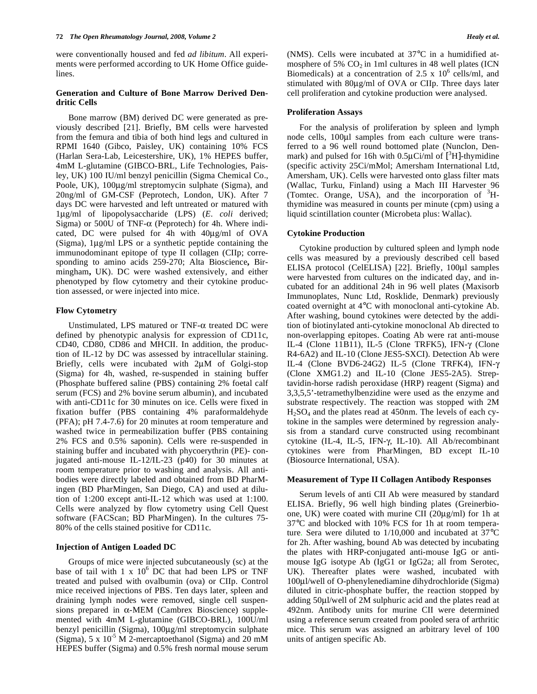were conventionally housed and fed *ad libitum*. All experiments were performed according to UK Home Office guidelines.

## **Generation and Culture of Bone Marrow Derived Dendritic Cells**

 Bone marrow (BM) derived DC were generated as previously described [21]. Briefly, BM cells were harvested from the femura and tibia of both hind legs and cultured in RPMI 1640 (Gibco, Paisley, UK) containing 10% FCS (Harlan Sera-Lab, Leicestershire, UK), 1% HEPES buffer, 4mM L-glutamine (GIBCO-BRL, Life Technologies, Paisley, UK) 100 IU/ml benzyl penicillin (Sigma Chemical Co., Poole, UK), 100μg/ml streptomycin sulphate (Sigma), and 20ng/ml of GM-CSF (Peprotech, London, UK). After 7 days DC were harvested and left untreated or matured with 1μg/ml of lipopolysaccharide (LPS) (*E. coli* derived; Sigma) or 500U of TNF- $\alpha$  (Peprotech) for 4h. Where indicated, DC were pulsed for 4h with 40μg/ml of OVA (Sigma), 1μg/ml LPS or a synthetic peptide containing the immunodominant epitope of type II collagen (CIIp; corresponding to amino acids 259-270; Alta Bioscience**,** Birmingham**,** UK). DC were washed extensively, and either phenotyped by flow cytometry and their cytokine production assessed, or were injected into mice.

## **Flow Cytometry**

Unstimulated, LPS matured or TNF- $\alpha$  treated DC were defined by phenotypic analysis for expression of CD11c, CD40, CD80, CD86 and MHCII. In addition, the production of IL-12 by DC was assessed by intracellular staining. Briefly, cells were incubated with 2μM of Golgi-stop (Sigma) for 4h, washed, re-suspended in staining buffer (Phosphate buffered saline (PBS) containing 2% foetal calf serum (FCS) and 2% bovine serum albumin), and incubated with anti-CD11c for 30 minutes on ice. Cells were fixed in fixation buffer (PBS containing 4% paraformaldehyde (PFA); pH 7.4-7.6) for 20 minutes at room temperature and washed twice in permeabilization buffer (PBS containing 2% FCS and 0.5% saponin). Cells were re-suspended in staining buffer and incubated with phycoerythrin (PE)- conjugated anti-mouse IL-12/IL-23 (p40) for 30 minutes at room temperature prior to washing and analysis. All antibodies were directly labeled and obtained from BD PharMingen (BD PharMingen, San Diego, CA) and used at dilution of 1:200 except anti-IL-12 which was used at 1:100. Cells were analyzed by flow cytometry using Cell Quest software (FACScan; BD PharMingen). In the cultures 75- 80% of the cells stained positive for CD11c.

## **Injection of Antigen Loaded DC**

 Groups of mice were injected subcutaneously (sc) at the base of tail with  $1 \times 10^6$  DC that had been LPS or TNF treated and pulsed with ovalbumin (ova) or CIIp. Control mice received injections of PBS. Ten days later, spleen and draining lymph nodes were removed, single cell suspensions prepared in  $\alpha$ -MEM (Cambrex Bioscience) supplemented with 4mM L-glutamine (GIBCO-BRL), 100U/ml benzyl penicillin (Sigma), 100μg/ml streptomycin sulphate (Sigma),  $5 \times 10^{-5}$  M 2-mercaptoethanol (Sigma) and 20 mM HEPES buffer (Sigma) and 0.5% fresh normal mouse serum

(NMS). Cells were incubated at 37°C in a humidified atmosphere of 5%  $CO<sub>2</sub>$  in 1ml cultures in 48 well plates (ICN Biomedicals) at a concentration of 2.5 x  $10^6$  cells/ml, and stimulated with 80μg/ml of OVA or CIIp. Three days later cell proliferation and cytokine production were analysed.

## **Proliferation Assays**

 For the analysis of proliferation by spleen and lymph node cells, 100μl samples from each culture were transferred to a 96 well round bottomed plate (Nunclon, Denmark) and pulsed for 16h with  $0.5 \mu \text{Ci/ml}$  of  $\text{[^{3}H]}$ -thymidine (specific activity 25Ci/mMol; Amersham International Ltd, Amersham, UK). Cells were harvested onto glass filter mats (Wallac, Turku, Finland) using a Mach III Harvester 96 (Tomtec. Orange, USA), and the incorporation of  ${}^{3}H$ thymidine was measured in counts per minute (cpm) using a liquid scintillation counter (Microbeta plus: Wallac).

## **Cytokine Production**

 Cytokine production by cultured spleen and lymph node cells was measured by a previously described cell based ELISA protocol (CelELISA) [22]. Briefly, 100μl samples were harvested from cultures on the indicated day, and incubated for an additional 24h in 96 well plates (Maxisorb Immunoplates, Nunc Ltd, Rosklide, Denmark) previously coated overnight at 4°C with monoclonal anti-cytokine Ab. After washing, bound cytokines were detected by the addition of biotinylated anti-cytokine monoclonal Ab directed to non-overlapping epitopes. Coating Ab were rat anti-mouse IL-4 (Clone 11B11), IL-5 (Clone TRFK5), IFN-γ (Clone R4-6A2) and IL-10 (Clone JES5-SXCI). Detection Ab were IL-4 (Clone BVD6-24G2) IL-5 (Clone TRFK4), IFN- $\gamma$ (Clone XMG1.2) and IL-10 (Clone JES5-2A5). Streptavidin-horse radish peroxidase (HRP) reagent (Sigma) and 3,3,5,5'-tetramethylbenzidine were used as the enzyme and substrate respectively. The reaction was stopped with 2M  $H<sub>2</sub>SO<sub>4</sub>$  and the plates read at 450nm. The levels of each cytokine in the samples were determined by regression analysis from a standard curve constructed using recombinant cytokine (IL-4, IL-5, IFN-γ, IL-10). All Ab/recombinant cytokines were from PharMingen, BD except IL-10 (Biosource International, USA).

## **Measurement of Type II Collagen Antibody Responses**

 Serum levels of anti CII Ab were measured by standard ELISA. Briefly, 96 well high binding plates (Greinerbioone, UK) were coated with murine CII (20μg/ml) for 1h at 37°C and blocked with 10% FCS for 1h at room temperature. Sera were diluted to 1/10,000 and incubated at 37°C for 2h. After washing, bound Ab was detected by incubating the plates with HRP-conjugated anti-mouse IgG or antimouse IgG isotype Ab (IgG1 or IgG2a; all from Serotec, UK). Thereafter plates were washed, incubated with 100μl/well of O-phenylenediamine dihydrochloride (Sigma) diluted in citric-phosphate buffer, the reaction stopped by adding 50μl/well of 2M sulphuric acid and the plates read at 492nm. Antibody units for murine CII were determined using a reference serum created from pooled sera of arthritic mice. This serum was assigned an arbitrary level of 100 units of antigen specific Ab.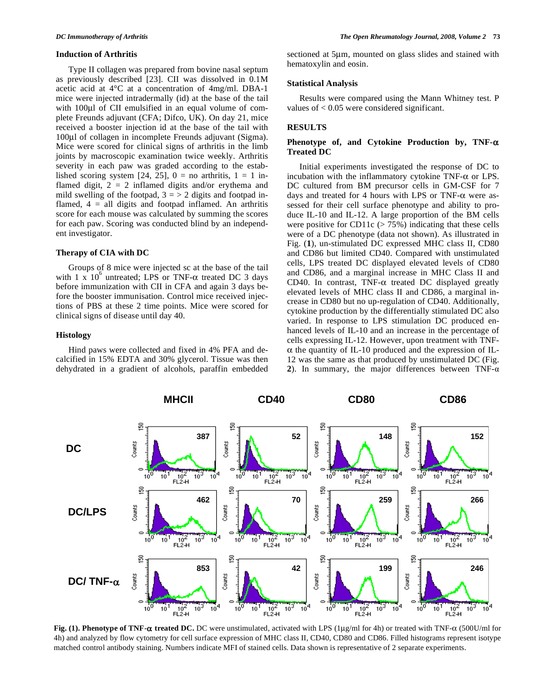#### **Induction of Arthritis**

 Type II collagen was prepared from bovine nasal septum as previously described [23]. CII was dissolved in 0.1M acetic acid at 4°C at a concentration of 4mg/ml. DBA-1 mice were injected intradermally (id) at the base of the tail with 100μl of CII emulsified in an equal volume of complete Freunds adjuvant (CFA; Difco, UK). On day 21, mice received a booster injection id at the base of the tail with 100μl of collagen in incomplete Freunds adjuvant (Sigma). Mice were scored for clinical signs of arthritis in the limb joints by macroscopic examination twice weekly. Arthritis severity in each paw was graded according to the established scoring system [24, 25],  $0 =$  no arthritis,  $1 = 1$  inflamed digit,  $2 = 2$  inflamed digits and/or erythema and mild swelling of the footpad,  $3 = 2$  digits and footpad inflamed,  $4 =$  all digits and footpad inflamed. An arthritis score for each mouse was calculated by summing the scores for each paw. Scoring was conducted blind by an independent investigator.

#### **Therapy of CIA with DC**

 Groups of 8 mice were injected sc at the base of the tail with 1 x  $10^6$  untreated; LPS or TNF- $\alpha$  treated DC 3 days before immunization with CII in CFA and again 3 days before the booster immunisation. Control mice received injections of PBS at these 2 time points. Mice were scored for clinical signs of disease until day 40.

#### **Histology**

 Hind paws were collected and fixed in 4% PFA and decalcified in 15% EDTA and 30% glycerol. Tissue was then dehydrated in a gradient of alcohols, paraffin embedded

sectioned at 5μm, mounted on glass slides and stained with hematoxylin and eosin.

#### **Statistical Analysis**

 Results were compared using the Mann Whitney test. P values of < 0.05 were considered significant.

#### **RESULTS**

## Phenotype of, and Cytokine Production by, TNF- $\alpha$ **Treated DC**

 Initial experiments investigated the response of DC to incubation with the inflammatory cytokine TNF- $\alpha$  or LPS. DC cultured from BM precursor cells in GM-CSF for 7 days and treated for 4 hours with LPS or TNF- $\alpha$  were assessed for their cell surface phenotype and ability to produce IL-10 and IL-12. A large proportion of the BM cells were positive for CD11c  $($  > 75%) indicating that these cells were of a DC phenotype (data not shown). As illustrated in Fig. (**1**), un-stimulated DC expressed MHC class II, CD80 and CD86 but limited CD40. Compared with unstimulated cells, LPS treated DC displayed elevated levels of CD80 and CD86, and a marginal increase in MHC Class II and CD40. In contrast, TNF- $\alpha$  treated DC displayed greatly elevated levels of MHC class II and CD86, a marginal increase in CD80 but no up-regulation of CD40. Additionally, cytokine production by the differentially stimulated DC also varied. In response to LPS stimulation DC produced enhanced levels of IL-10 and an increase in the percentage of cells expressing IL-12. However, upon treatment with TNF-  $\alpha$  the quantity of IL-10 produced and the expression of IL-12 was the same as that produced by unstimulated DC (Fig. 2). In summary, the major differences between  $TNF-\alpha$ 



**Fig. (1). Phenotype of TNF-α treated DC.** DC were unstimulated, activated with LPS (1μg/ml for 4h) or treated with TNF-α (500U/ml for 4h) and analyzed by flow cytometry for cell surface expression of MHC class II, CD40, CD80 and CD86. Filled histograms represent isotype matched control antibody staining. Numbers indicate MFI of stained cells. Data shown is representative of 2 separate experiments.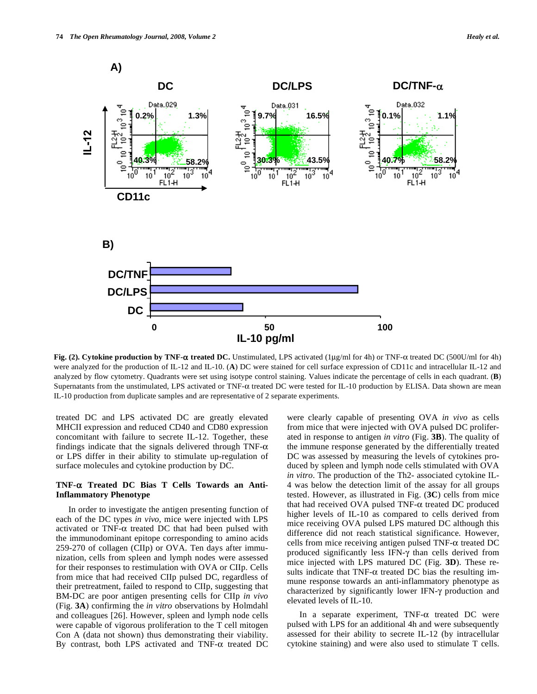

**Fig. (2). Cytokine production by TNF-** $\alpha$  **treated DC.** Unstimulated, LPS activated (1μg/ml for 4h) or TNF- $\alpha$  treated DC (500U/ml for 4h) were analyzed for the production of IL-12 and IL-10. (**A**) DC were stained for cell surface expression of CD11c and intracellular IL-12 and analyzed by flow cytometry. Quadrants were set using isotype control staining. Values indicate the percentage of cells in each quadrant. (**B**) Supernatants from the unstimulated, LPS activated or TNF- $\alpha$  treated DC were tested for IL-10 production by ELISA. Data shown are mean IL-10 production from duplicate samples and are representative of 2 separate experiments.

treated DC and LPS activated DC are greatly elevated MHCII expression and reduced CD40 and CD80 expression concomitant with failure to secrete IL-12. Together, these findings indicate that the signals delivered through TNF- $\alpha$ or LPS differ in their ability to stimulate up-regulation of surface molecules and cytokine production by DC.

# **TNF- Treated DC Bias T Cells Towards an Anti-Inflammatory Phenotype**

 In order to investigate the antigen presenting function of each of the DC types *in vivo*, mice were injected with LPS activated or TNF- $\alpha$  treated DC that had been pulsed with the immunodominant epitope corresponding to amino acids 259-270 of collagen (CIIp) or OVA. Ten days after immunization, cells from spleen and lymph nodes were assessed for their responses to restimulation with OVA or CIIp. Cells from mice that had received CIIp pulsed DC, regardless of their pretreatment, failed to respond to CIIp, suggesting that BM-DC are poor antigen presenting cells for CIIp *in vivo*  (Fig. **3A**) confirming the *in vitro* observations by Holmdahl and colleagues [26]. However, spleen and lymph node cells were capable of vigorous proliferation to the T cell mitogen Con A (data not shown) thus demonstrating their viability. By contrast, both LPS activated and TNF- $\alpha$  treated DC

were clearly capable of presenting OVA *in vivo* as cells from mice that were injected with OVA pulsed DC proliferated in response to antigen *in vitro* (Fig. **3B**). The quality of the immune response generated by the differentially treated DC was assessed by measuring the levels of cytokines produced by spleen and lymph node cells stimulated with OVA *in vitro*. The production of the Th2- associated cytokine IL-4 was below the detection limit of the assay for all groups tested. However, as illustrated in Fig. (**3C**) cells from mice that had received OVA pulsed TNF- $\alpha$  treated DC produced higher levels of IL-10 as compared to cells derived from mice receiving OVA pulsed LPS matured DC although this difference did not reach statistical significance. However, cells from mice receiving antigen pulsed TNF- $\alpha$  treated DC produced significantly less IFN- $\gamma$  than cells derived from mice injected with LPS matured DC (Fig. **3D**). These results indicate that TNF- $\alpha$  treated DC bias the resulting immune response towards an anti-inflammatory phenotype as characterized by significantly lower IFN- $\gamma$  production and elevated levels of IL-10.

In a separate experiment,  $TNF-\alpha$  treated DC were pulsed with LPS for an additional 4h and were subsequently assessed for their ability to secrete IL-12 (by intracellular cytokine staining) and were also used to stimulate T cells.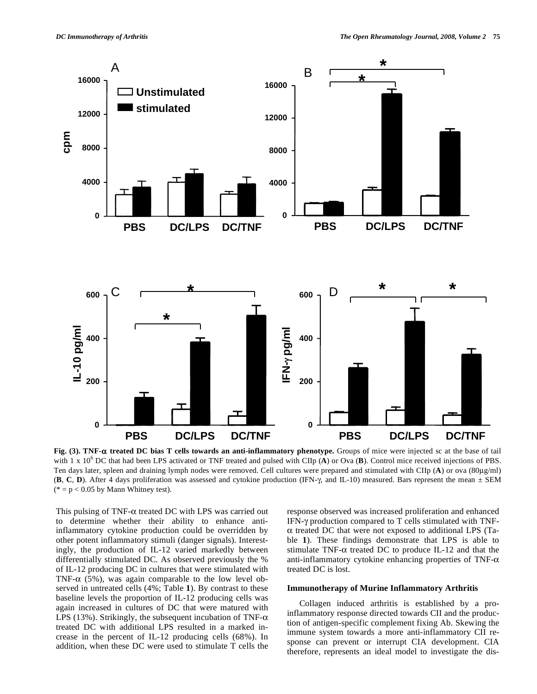

**Fig. (3). TNF- treated DC bias T cells towards an anti-inflammatory phenotype.** Groups of mice were injected sc at the base of tail with 1 x 10<sup>6</sup> DC that had been LPS activated or TNF treated and pulsed with CIIp (A) or Ova (B). Control mice received injections of PBS. Ten days later, spleen and draining lymph nodes were removed. Cell cultures were prepared and stimulated with CIIp (**A**) or ova (80μg/ml)  $(B, C, D)$ . After 4 days proliferation was assessed and cytokine production (IFN- $\gamma$ , and IL-10) measured. Bars represent the mean  $\pm$  SEM ( $* = p < 0.05$  by Mann Whitney test).

This pulsing of TNF- $\alpha$  treated DC with LPS was carried out to determine whether their ability to enhance antiinflammatory cytokine production could be overridden by other potent inflammatory stimuli (danger signals). Interestingly, the production of IL-12 varied markedly between differentially stimulated DC. As observed previously the % of IL-12 producing DC in cultures that were stimulated with TNF- $\alpha$  (5%), was again comparable to the low level observed in untreated cells (4%; Table **1**). By contrast to these baseline levels the proportion of IL-12 producing cells was again increased in cultures of DC that were matured with LPS (13%). Strikingly, the subsequent incubation of TNF- $\alpha$ treated DC with additional LPS resulted in a marked increase in the percent of IL-12 producing cells (68%). In addition, when these DC were used to stimulate T cells the

response observed was increased proliferation and enhanced IFN-y production compared to T cells stimulated with TNF- $\alpha$  treated DC that were not exposed to additional LPS (Table **1**). These findings demonstrate that LPS is able to stimulate TNF- $\alpha$  treated DC to produce IL-12 and that the anti-inflammatory cytokine enhancing properties of TNF- $\alpha$ treated DC is lost.

## **Immunotherapy of Murine Inflammatory Arthritis**

 Collagen induced arthritis is established by a proinflammatory response directed towards CII and the production of antigen-specific complement fixing Ab. Skewing the immune system towards a more anti-inflammatory CII response can prevent or interrupt CIA development. CIA therefore, represents an ideal model to investigate the dis-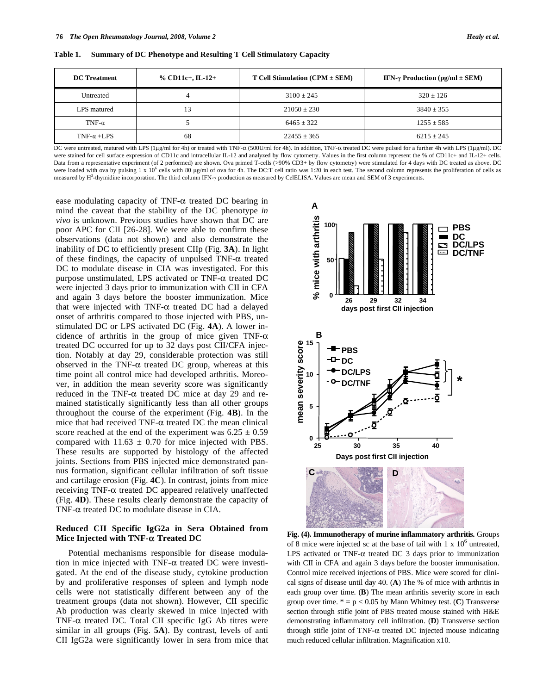| <b>DC</b> Treatment | % CD11c+, IL-12+ | $T$ Cell Stimulation (CPM $\pm$ SEM) | IFN- $\gamma$ Production (pg/ml $\pm$ SEM) |
|---------------------|------------------|--------------------------------------|--------------------------------------------|
| Untreated           | 4                | $3100 + 245$                         | $320 + 126$                                |
| LPS matured         | 13               | $21050 + 230$                        | $3840 + 355$                               |
| TNF- $\alpha$       |                  | $6465 + 322$                         | $1255 \pm 585$                             |
| TNF- $\alpha$ +LPS  | 68               | $22455 \pm 365$                      | $6215 \pm 245$                             |

**Table 1. Summary of DC Phenotype and Resulting T Cell Stimulatory Capacity** 

DC were untreated, matured with LPS (1μg/ml for 4h) or treated with TNF-α (500U/ml for 4h). In addition, TNF-α treated DC were pulsed for a further 4h with LPS (1μg/ml). DC were stained for cell surface expression of CD11c and intracellular IL-12 and analyzed by flow cytometry. Values in the first column represent the % of CD11c+ and IL-12+ cells. Data from a representative experiment (of 2 performed) are shown. Ova primed T-cells (>90% CD3+ by flow cytometry) were stimulated for 4 days with DC treated as above. DC were loaded with ova by pulsing 1 x 10<sup>6</sup> cells with 80 μg/ml of ova for 4h. The DC:T cell ratio was 1:20 in each test. The second column represents the proliferation of cells as measured by  $H^3$ -thymidine incorporation. The third column IFN- $\gamma$  production as measured by CelELISA. Values are mean and SEM of 3 experiments.

ease modulating capacity of TNF- $\alpha$  treated DC bearing in mind the caveat that the stability of the DC phenotype *in vivo* is unknown. Previous studies have shown that DC are poor APC for CII [26-28]. We were able to confirm these observations (data not shown) and also demonstrate the inability of DC to efficiently present CIIp (Fig. **3A**). In light of these findings, the capacity of unpulsed  $TNF-\alpha$  treated DC to modulate disease in CIA was investigated. For this purpose unstimulated, LPS activated or TNF- $\alpha$  treated DC were injected 3 days prior to immunization with CII in CFA and again 3 days before the booster immunization. Mice that were injected with TNF- $\alpha$  treated DC had a delayed onset of arthritis compared to those injected with PBS, unstimulated DC or LPS activated DC (Fig. **4A**). A lower incidence of arthritis in the group of mice given TNF- $\alpha$ treated DC occurred for up to 32 days post CII/CFA injection. Notably at day 29, considerable protection was still observed in the TNF- $\alpha$  treated DC group, whereas at this time point all control mice had developed arthritis. Moreover, in addition the mean severity score was significantly reduced in the TNF- $\alpha$  treated DC mice at day 29 and remained statistically significantly less than all other groups throughout the course of the experiment (Fig. **4B**). In the mice that had received  $TNF-\alpha$  treated DC the mean clinical score reached at the end of the experiment was  $6.25 \pm 0.59$ compared with  $11.63 \pm 0.70$  for mice injected with PBS. These results are supported by histology of the affected joints. Sections from PBS injected mice demonstrated pannus formation, significant cellular infiltration of soft tissue and cartilage erosion (Fig. **4C**). In contrast, joints from mice receiving TNF- $\alpha$  treated DC appeared relatively unaffected (Fig. **4D**). These results clearly demonstrate the capacity of TNF- $\alpha$  treated DC to modulate disease in CIA.

## **Reduced CII Specific IgG2a in Sera Obtained from Mice Injected with TNF-α Treated DC**

 Potential mechanisms responsible for disease modulation in mice injected with TNF- $\alpha$  treated DC were investigated. At the end of the disease study, cytokine production by and proliferative responses of spleen and lymph node cells were not statistically different between any of the treatment groups (data not shown). However, CII specific Ab production was clearly skewed in mice injected with TNF- $\alpha$  treated DC. Total CII specific IgG Ab titres were similar in all groups (Fig. **5A**). By contrast, levels of anti CII IgG2a were significantly lower in sera from mice that



**Fig. (4). Immunotherapy of murine inflammatory arthritis.** Groups of 8 mice were injected sc at the base of tail with  $1 \times 10^6$  untreated, LPS activated or TNF- $\alpha$  treated DC 3 days prior to immunization with CII in CFA and again 3 days before the booster immunisation. Control mice received injections of PBS. Mice were scored for clinical signs of disease until day 40. (**A**) The % of mice with arthritis in each group over time. (**B**) The mean arthritis severity score in each group over time.  $* = p < 0.05$  by Mann Whitney test. (C) Transverse section through stifle joint of PBS treated mouse stained with H&E demonstrating inflammatory cell infiltration. (**D**) Transverse section through stifle joint of TNF- $\alpha$  treated DC injected mouse indicating much reduced cellular infiltration. Magnification x10.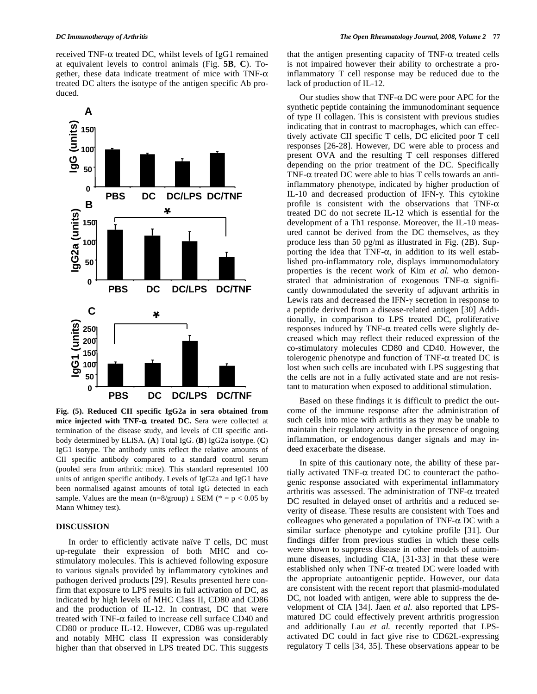received TNF- $\alpha$  treated DC, whilst levels of IgG1 remained at equivalent levels to control animals (Fig. **5B**, **C**). Together, these data indicate treatment of mice with  $TNF-\alpha$ treated DC alters the isotype of the antigen specific Ab produced.



**Fig. (5). Reduced CII specific IgG2a in sera obtained from**  mice injected with TNF- $\alpha$  treated DC. Sera were collected at termination of the disease study, and levels of CII specific antibody determined by ELISA. (**A**) Total IgG. (**B**) IgG2a isotype. (**C**) IgG1 isotype. The antibody units reflect the relative amounts of CII specific antibody compared to a standard control serum (pooled sera from arthritic mice). This standard represented 100 units of antigen specific antibody. Levels of IgG2a and IgG1 have been normalised against amounts of total IgG detected in each sample. Values are the mean  $(n=8/\text{group}) \pm \text{SEM}$  (\* = p < 0.05 by Mann Whitney test).

#### **DISCUSSION**

 In order to efficiently activate naïve T cells, DC must up-regulate their expression of both MHC and costimulatory molecules. This is achieved following exposure to various signals provided by inflammatory cytokines and pathogen derived products [29]. Results presented here confirm that exposure to LPS results in full activation of DC, as indicated by high levels of MHC Class II, CD80 and CD86 and the production of IL-12. In contrast, DC that were treated with TNF- $\alpha$  failed to increase cell surface CD40 and CD80 or produce IL-12. However, CD86 was up-regulated and notably MHC class II expression was considerably higher than that observed in LPS treated DC. This suggests

that the antigen presenting capacity of  $TNF-\alpha$  treated cells is not impaired however their ability to orchestrate a proinflammatory T cell response may be reduced due to the lack of production of IL-12.

Our studies show that  $TNF-\alpha DC$  were poor APC for the synthetic peptide containing the immunodominant sequence of type II collagen. This is consistent with previous studies indicating that in contrast to macrophages, which can effectively activate CII specific T cells, DC elicited poor T cell responses [26-28]. However, DC were able to process and present OVA and the resulting T cell responses differed depending on the prior treatment of the DC. Specifically TNF- $\alpha$  treated DC were able to bias T cells towards an antiinflammatory phenotype, indicated by higher production of IL-10 and decreased production of IFN-y. This cytokine profile is consistent with the observations that TNF- $\alpha$ treated DC do not secrete IL-12 which is essential for the development of a Th1 response. Moreover, the IL-10 measured cannot be derived from the DC themselves, as they produce less than 50 pg/ml as illustrated in Fig. (2B). Supporting the idea that  $TNF-\alpha$ , in addition to its well established pro-inflammatory role, displays immunomodulatory properties is the recent work of Kim *et al.* who demonstrated that administration of exogenous TNF- $\alpha$  significantly downmodulated the severity of adjuvant arthritis in Lewis rats and decreased the IFN- $\gamma$  secretion in response to a peptide derived from a disease-related antigen [30] Additionally, in comparison to LPS treated DC, proliferative responses induced by TNF- $\alpha$  treated cells were slightly decreased which may reflect their reduced expression of the co-stimulatory molecules CD80 and CD40. However, the tolerogenic phenotype and function of  $TNF-\alpha$  treated DC is lost when such cells are incubated with LPS suggesting that the cells are not in a fully activated state and are not resistant to maturation when exposed to additional stimulation.

 Based on these findings it is difficult to predict the outcome of the immune response after the administration of such cells into mice with arthritis as they may be unable to maintain their regulatory activity in the presence of ongoing inflammation, or endogenous danger signals and may indeed exacerbate the disease.

 In spite of this cautionary note, the ability of these partially activated TNF- $\alpha$  treated DC to counteract the pathogenic response associated with experimental inflammatory arthritis was assessed. The administration of TNF- $\alpha$  treated DC resulted in delayed onset of arthritis and a reduced severity of disease. These results are consistent with Toes and colleagues who generated a population of TNF- $\alpha$  DC with a similar surface phenotype and cytokine profile [31]. Our findings differ from previous studies in which these cells were shown to suppress disease in other models of autoimmune diseases, including CIA, [31-33] in that these were established only when TNF- $\alpha$  treated DC were loaded with the appropriate autoantigenic peptide. However, our data are consistent with the recent report that plasmid-modulated DC, not loaded with antigen, were able to suppress the development of CIA [34]. Jaen *et al.* also reported that LPSmatured DC could effectively prevent arthritis progression and additionally Lau *et al.* recently reported that LPSactivated DC could in fact give rise to CD62L-expressing regulatory T cells [34, 35]. These observations appear to be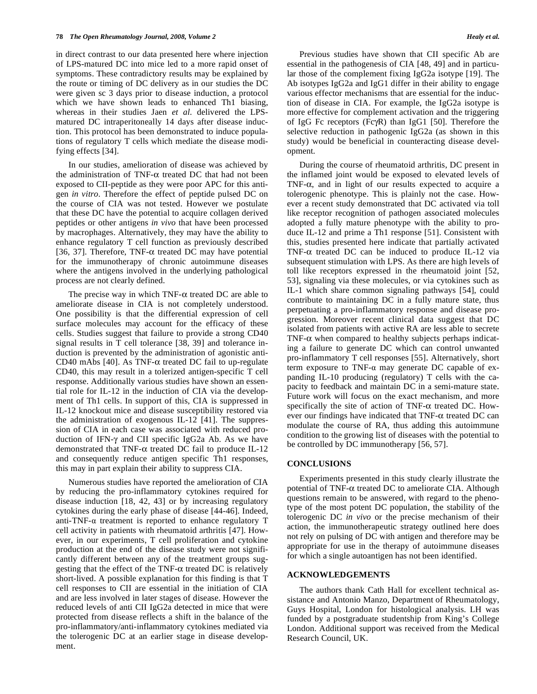in direct contrast to our data presented here where injection of LPS-matured DC into mice led to a more rapid onset of symptoms. These contradictory results may be explained by the route or timing of DC delivery as in our studies the DC were given sc 3 days prior to disease induction, a protocol which we have shown leads to enhanced Th1 biasing, whereas in their studies Jaen *et al.* delivered the LPSmatured DC intraperitoneally 14 days after disease induction. This protocol has been demonstrated to induce populations of regulatory T cells which mediate the disease modifying effects [34].

 In our studies, amelioration of disease was achieved by the administration of TNF- $\alpha$  treated DC that had not been exposed to CII-peptide as they were poor APC for this antigen *in vitro*. Therefore the effect of peptide pulsed DC on the course of CIA was not tested. However we postulate that these DC have the potential to acquire collagen derived peptides or other antigens *in vivo* that have been processed by macrophages. Alternatively, they may have the ability to enhance regulatory T cell function as previously described [36, 37]. Therefore, TNF- $\alpha$  treated DC may have potential for the immunotherapy of chronic autoimmune diseases where the antigens involved in the underlying pathological process are not clearly defined.

The precise way in which TNF- $\alpha$  treated DC are able to ameliorate disease in CIA is not completely understood. One possibility is that the differential expression of cell surface molecules may account for the efficacy of these cells. Studies suggest that failure to provide a strong CD40 signal results in T cell tolerance [38, 39] and tolerance induction is prevented by the administration of agonistic anti-CD40 mAbs [40]. As TNF- $\alpha$  treated DC fail to up-regulate CD40, this may result in a tolerized antigen-specific T cell response. Additionally various studies have shown an essential role for IL-12 in the induction of CIA via the development of Th1 cells. In support of this, CIA is suppressed in IL-12 knockout mice and disease susceptibility restored via the administration of exogenous IL-12 [41]. The suppression of CIA in each case was associated with reduced production of IFN- $\gamma$  and CII specific IgG2a Ab. As we have demonstrated that TNF- $\alpha$  treated DC fail to produce IL-12 and consequently reduce antigen specific Th1 responses, this may in part explain their ability to suppress CIA.

 Numerous studies have reported the amelioration of CIA by reducing the pro-inflammatory cytokines required for disease induction [18, 42, 43] or by increasing regulatory cytokines during the early phase of disease [44-46]. Indeed, anti-TNF- $\alpha$  treatment is reported to enhance regulatory T cell activity in patients with rheumatoid arthritis [47]. However, in our experiments, T cell proliferation and cytokine production at the end of the disease study were not significantly different between any of the treatment groups suggesting that the effect of the TNF- $\alpha$  treated DC is relatively short-lived. A possible explanation for this finding is that T cell responses to CII are essential in the initiation of CIA and are less involved in later stages of disease. However the reduced levels of anti CII IgG2a detected in mice that were protected from disease reflects a shift in the balance of the pro-inflammatory/anti-inflammatory cytokines mediated via the tolerogenic DC at an earlier stage in disease development.

 Previous studies have shown that CII specific Ab are essential in the pathogenesis of CIA [48, 49] and in particular those of the complement fixing IgG2a isotype [19]. The Ab isotypes IgG2a and IgG1 differ in their ability to engage various effector mechanisms that are essential for the induction of disease in CIA. For example, the IgG2a isotype is more effective for complement activation and the triggering of IgG Fc receptors (Fc $\gamma$ R) than IgG1 [50]. Therefore the selective reduction in pathogenic IgG2a (as shown in this study) would be beneficial in counteracting disease development.

 During the course of rheumatoid arthritis, DC present in the inflamed joint would be exposed to elevated levels of TNF- $\alpha$ , and in light of our results expected to acquire a tolerogenic phenotype. This is plainly not the case. However a recent study demonstrated that DC activated via toll like receptor recognition of pathogen associated molecules adopted a fully mature phenotype with the ability to produce IL-12 and prime a Th1 response [51]. Consistent with this, studies presented here indicate that partially activated TNF- $\alpha$  treated DC can be induced to produce IL-12 via subsequent stimulation with LPS. As there are high levels of toll like receptors expressed in the rheumatoid joint [52, 53], signaling via these molecules, or via cytokines such as IL-1 which share common signaling pathways [54], could contribute to maintaining DC in a fully mature state, thus perpetuating a pro-inflammatory response and disease progression. Moreover recent clinical data suggest that DC isolated from patients with active RA are less able to secrete TNF- $\alpha$  when compared to healthy subjects perhaps indicating a failure to generate DC which can control unwanted pro-inflammatory T cell responses [55]. Alternatively, short term exposure to TNF- $\alpha$  may generate DC capable of expanding IL-10 producing (regulatory) T cells with the capacity to feedback and maintain DC in a semi-mature state. Future work will focus on the exact mechanism, and more specifically the site of action of TNF- $\alpha$  treated DC. However our findings have indicated that  $TNF-\alpha$  treated DC can modulate the course of RA, thus adding this autoimmune condition to the growing list of diseases with the potential to be controlled by DC immunotherapy [56, 57].

#### **CONCLUSIONS**

 Experiments presented in this study clearly illustrate the potential of TNF- $\alpha$  treated DC to ameliorate CIA. Although questions remain to be answered, with regard to the phenotype of the most potent DC population, the stability of the tolerogenic DC *in vivo* or the precise mechanism of their action, the immunotherapeutic strategy outlined here does not rely on pulsing of DC with antigen and therefore may be appropriate for use in the therapy of autoimmune diseases for which a single autoantigen has not been identified.

## **ACKNOWLEDGEMENTS**

 The authors thank Cath Hall for excellent technical assistance and Antonio Manzo, Department of Rheumatology, Guys Hospital, London for histological analysis. LH was funded by a postgraduate studentship from King's College London. Additional support was received from the Medical Research Council, UK.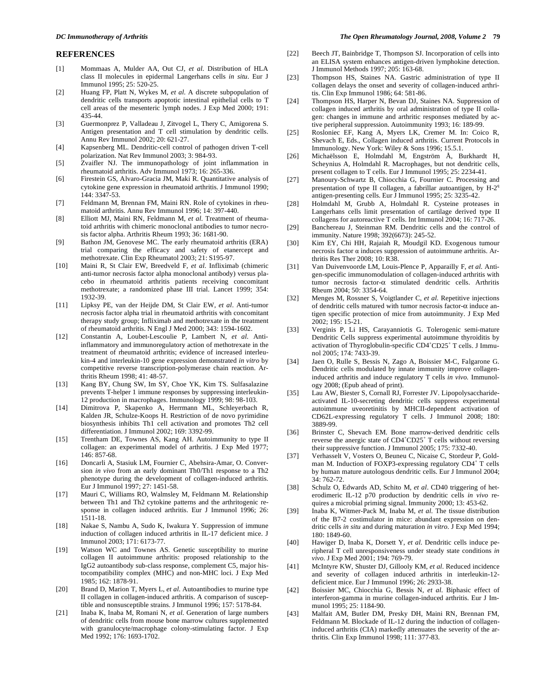#### **REFERENCES**

- [1] Mommaas A, Mulder AA, Out CJ, *et al*. Distribution of HLA class II molecules in epidermal Langerhans cells *in situ*. Eur J Immunol 1995; 25: 520-25.
- [2] Huang FP, Platt N, Wykes M, *et al*. A discrete subpopulation of dendritic cells transports apoptotic intestinal epithelial cells to T cell areas of the mesenteric lymph nodes. J Exp Med 2000; 191: 435-44.
- [3] Guermonprez P, Valladeau J, Zitvogel L, Thery C, Amigorena S. Antigen presentation and T cell stimulation by dendritic cells. Annu Rev Immunol 2002; 20: 621-27.
- [4] Kapsenberg ML. Dendritic-cell control of pathogen driven T-cell polarization. Nat Rev Immunol 2003; 3: 984-93.
- [5] Zvaifler NJ. The immunopathology of joint inflammation in rheumatoid arthritis. Adv Immunol 1973; 16: 265-336.
- [6] Firestein GS, Alvaro-Gracia JM, Maki R. Quantitative analysis of cytokine gene expression in rheumatoid arthritis. J Immunol 1990; 144: 3347-53.
- [7] Feldmann M, Brennan FM, Maini RN. Role of cytokines in rheumatoid arthritis. Annu Rev Immunol 1996; 14: 397-440.
- [8] Elliott MJ, Maini RN, Feldmann M, *et al*. Treatment of rheumatoid arthritis with chimeric monoclonal antibodies to tumor necrosis factor alpha. Arthritis Rheum 1993; 36: 1681-90.
- [9] Bathon JM, Genovese MC. The early rheumatoid arthritis (ERA) trial comparing the efficacy and safety of etanercept and methotrexate. Clin Exp Rheumatol 2003; 21: S195-97.
- [10] Maini R, St Clair EW, Breedveld F, *et al*. Infliximab (chimeric anti-tumor necrosis factor alpha monoclonal antibody) versus placebo in rheumatoid arthritis patients receiving concomitant methotrexate; a randomized phase III trial. Lancet 1999; 354: 1932-39.
- [11] Lipksy PE, van der Heijde DM, St Clair EW, *et al*. Anti-tumor necrosis factor alpha trial in rheumatoid arthritis with concomitant therapy study group; Infliximab and methotrexate in the treatment of rheumatoid arthritis. N Engl J Med 2000; 343: 1594-1602.
- [12] Constantin A, Loubet-Lescoulie P, Lambert N, *et al*. Antiinflammatory and immunoregulatory action of methotrexate in the treatment of rheumatoid arthritis; evidence of increased interleukin-4 and interleukin-10 gene expression demonstrated *in vitro* by competitive reverse transcription-polymerase chain reaction. Arthritis Rheum 1998; 41: 48-57.
- [13] Kang BY, Chung SW, Im SY, Choe YK, Kim TS. Sulfasalazine prevents T-helper 1 immune responses by suppressing interleukin-12 production in macrophages. Immunology 1999; 98: 98-103.
- [14] Dimitrova P, Skapenko A, Herrmann ML, Schleyerbach R, Kalden JR, Schulze-Koops H. Restriction of de novo pyrimidine biosynthesis inhibits Th1 cell activation and promotes Th2 cell differentiation. J Immunol 2002; 169: 3392-99.
- [15] Trentham DE, Townes AS, Kang AH. Autoimmunity to type II collagen: an experimental model of arthritis. J Exp Med 1977; 146: 857-68.
- [16] Doncarli A, Stasiuk LM, Fournier C, Abehsira-Amar, O. Conversion *in vivo* from an early dominant Th0/Th1 response to a Th2 phenotype during the development of collagen-induced arthritis. Eur J Immunol 1997; 27: 1451-58.
- [17] Mauri C, Williams RO, Walmsley M, Feldmann M. Relationship between Th1 and Th2 cytokine patterns and the arthritogenic response in collagen induced arthritis. Eur J Immunol 1996; 26: 1511-18.
- [18] Nakae S, Nambu A, Sudo K, Iwakura Y. Suppression of immune induction of collagen induced arthritis in IL-17 deficient mice. J Immunol 2003; 171: 6173-77.
- [19] Watson WC and Townes AS. Genetic susceptibility to murine collagen II autoimmune arthritis: proposed relationship to the IgG2 autoantibody sub-class response, complement C5, major histocompatibility complex (MHC) and non-MHC loci. J Exp Med 1985; 162: 1878-91.
- [20] Brand D, Marion T, Myers L, *et al*. Autoantibodies to murine type II collagen in collagen-induced arthritis. A comparison of susceptible and nonsusceptible strains. J Immunol 1996; 157: 5178-84.
- [21] Inaba K, Inaba M, Romani N, *et al*. Generation of large numbers of dendritic cells from mouse bone marrow cultures supplemented with granulocyte/macrophage colony-stimulating factor. J Exp Med 1992; 176: 1693-1702.
- [22] Beech JT, Bainbridge T, Thompson SJ. Incorporation of cells into an ELISA system enhances antigen-driven lymphokine detection. J Immunol Methods 1997; 205: 163-68.
- [23] Thompson HS, Staines NA. Gastric administration of type II collagen delays the onset and severity of collagen-induced arthritis. Clin Exp Immunol 1986; 64: 581-86.
- [24] Thompson HS, Harper N, Bevan DJ, Staines NA. Suppression of collagen induced arthritis by oral administration of type II collagen: changes in immune and arthritic responses mediated by active peripheral suppression. Autoimmunity 1993; 16: 189-99.
- [25] Rosloniec EF, Kang A, Myers LK, Cremer M. In: Coico R, Shevach E, Eds., Collagen induced arthritis. Current Protocols in Immunology. New York: Wiley & Sons 1996; 15.5.1.
- [26] Michaëlsson E, Holmdahl M, Engström Å, Burkhardt H, Scheynius A, Holmdahl R. Macrophages, but not dendritic cells, present collagen to T cells. Eur J Immunol 1995; 25: 2234-41.
- [27] Manoury-Schwartz B, Chiocchia G, Fournier C. Processing and presentation of type II collagen, a fabrillar autoantigen, by  $H-2<sup>q</sup>$ antigen-presenting cells. Eur J Immunol 1995; 25: 3235-42.
- [28] Holmdahl M, Grubb A, Holmdahl R. Cysteine proteases in Langerhans cells limit presentation of cartilage derived type II collagens for autoreactive T cells. Int Immunol 2004; 16: 717-26.
- [29] Banchereau J, Steinman RM. Dendritic cells and the control of immunity. Nature 1998; 392(6673): 245-52.
- [30] Kim EY, Chi HH, Rajaiah R, Moudgil KD. Exogenous tumour necrosis factor  $\alpha$  induces suppression of autoimmune arthritis. Arthritis Res Ther 2008; 10: R38.
- [31] Van Duivenvoorde LM, Louis-Plence P, Apparailly F, *et al*. Antigen-specific immunomodulation of collagen-induced arthritis with tumor necrosis factor- $\alpha$  stimulated dendritic cells. Arthritis Rheum 2004; 50: 3354-64.
- [32] Menges M, Rossner S, Voigtlander C, *et al*. Repetitive injections of dendritic cells matured with tumor necrosis factor- $\alpha$  induce antigen specific protection of mice from autoimmunity. J Exp Med 2002; 195: 15-21.
- [33] Verginis P, Li HS, Carayanniotis G. Tolerogenic semi-mature Dendritic Cells suppress experimental autoimmune thyroiditis by activation of Thyroglobulin-specific CD4<sup>+</sup>CD25<sup>+</sup> T cells. J Immunol 2005; 174: 7433-39.
- [34] Jaen O, Rulle S, Bessis N, Zago A, Boissier M-C, Falgarone G. Dendritic cells modulated by innate immunity improve collageninduced arthritis and induce regulatory T cells *in vivo.* Immunology 2008; (Epub ahead of print).
- [35] Lau AW, Biester S, Cornall RJ, Forrester JV. Lipopolysaccharideactivated IL-10-secreting dendritic cells suppress experimental autoimmune uveoretinitis by MHCII-dependent activation of CD62L-expressing regulatory T cells. J Immunol 2008; 180: 3889-99.
- [36] Brinster C, Shevach EM. Bone marrow-derived dendritic cells reverse the anergic state of CD4<sup>+</sup>CD25<sup>+</sup> T cells without reversing their suppressive function. J Immunol 2005; 175: 7332-40.
- [37] Verhasselt V, Vosters O, Beuneu C, Nicaise C, Stordeur P, Goldman M. Induction of FOXP3-expressing regulatory CD4<sup>+</sup> T cells by human mature autologous dendritic cells. Eur J Immunol 2004; 34: 762-72.
- [38] Schulz O, Edwards AD, Schito M, *et al*. CD40 triggering of heterodimeric IL-12 p70 production by dendritic cells *in vivo* requires a microbial priming signal. Immunity 2000; 13: 453-62.
- [39] Inaba K, Witmer-Pack M, Inaba M, *et al*. The tissue distribution of the B7-2 costimulator in mice: abundant expression on dendritic cells *in situ* and during maturation *in vitro.* J Exp Med 1994; 180: 1849-60.
- [40] Hawiger D, Inaba K, Dorsett Y, *et al*. Dendritic cells induce peripheral T cell unresponsiveness under steady state conditions *in vivo.* J Exp Med 2001; 194: 769-79.
- [41] McIntyre KW, Shuster DJ, Gillooly KM, *et al*. Reduced incidence and severity of collagen induced arthritis in interleukin-12 deficient mice. Eur J Immunol 1996; 26: 2933-38.
- [42] Boissier MC, Chiocchia G, Bessis N, *et al*. Biphasic effect of interferon-gamma in murine collagen-induced arthritis. Eur J Immunol 1995; 25: 1184-90.
- [43] Malfait AM, Butler DM, Presky DH, Maini RN, Brennan FM, Feldmann M. Blockade of IL-12 during the induction of collageninduced arthritis (CIA) markedly attenuates the severity of the arthritis. Clin Exp Immunol 1998; 111: 377-83.